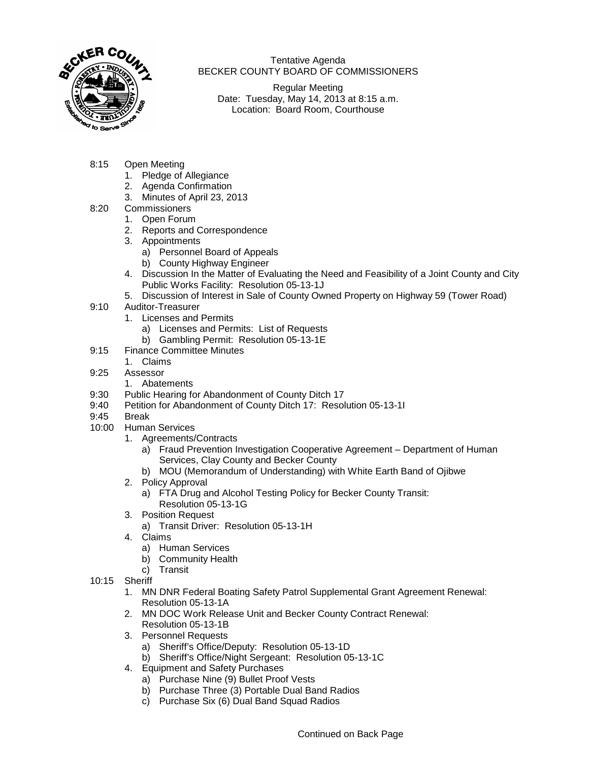

Tentative Agenda BECKER COUNTY BOARD OF COMMISSIONERS

Regular Meeting Date: Tuesday, May 14, 2013 at 8:15 a.m. Location: Board Room, Courthouse

- 8:15 Open Meeting
	- 1. Pledge of Allegiance
	- 2. Agenda Confirmation
	- 3. Minutes of April 23, 2013
- 8:20 Commissioners
	- 1. Open Forum
	- 2. Reports and Correspondence
	- 3. Appointments
		- a) Personnel Board of Appeals
		- b) County Highway Engineer
	- 4. Discussion In the Matter of Evaluating the Need and Feasibility of a Joint County and City Public Works Facility: Resolution 05-13-1J
	- 5. Discussion of Interest in Sale of County Owned Property on Highway 59 (Tower Road)
- 9:10 Auditor-Treasurer
	- 1. Licenses and Permits
		- a) Licenses and Permits: List of Requests
		- b) Gambling Permit: Resolution 05-13-1E
- 9:15 Finance Committee Minutes
	- 1. Claims
- 9:25 Assessor
	- 1. Abatements
- 9:30 Public Hearing for Abandonment of County Ditch 17
- 9:40 Petition for Abandonment of County Ditch 17: Resolution 05-13-1I
- 9:45 Break
- 10:00 Human Services
	- 1. Agreements/Contracts
		- a) Fraud Prevention Investigation Cooperative Agreement Department of Human Services, Clay County and Becker County
		- b) MOU (Memorandum of Understanding) with White Earth Band of Ojibwe
	- 2. Policy Approval
		- a) FTA Drug and Alcohol Testing Policy for Becker County Transit: Resolution 05-13-1G
	- 3. Position Request
		- a) Transit Driver: Resolution 05-13-1H
	- 4. Claims
		- a) Human Services
		- b) Community Health
		- c) Transit
- 10:15 Sheriff
	- 1. MN DNR Federal Boating Safety Patrol Supplemental Grant Agreement Renewal: Resolution 05-13-1A
	- 2. MN DOC Work Release Unit and Becker County Contract Renewal: Resolution 05-13-1B
	- 3. Personnel Requests
		- a) Sheriff's Office/Deputy: Resolution 05-13-1D
		- b) Sheriff's Office/Night Sergeant: Resolution 05-13-1C
	- 4. Equipment and Safety Purchases
		- a) Purchase Nine (9) Bullet Proof Vests
		- b) Purchase Three (3) Portable Dual Band Radios
		- c) Purchase Six (6) Dual Band Squad Radios